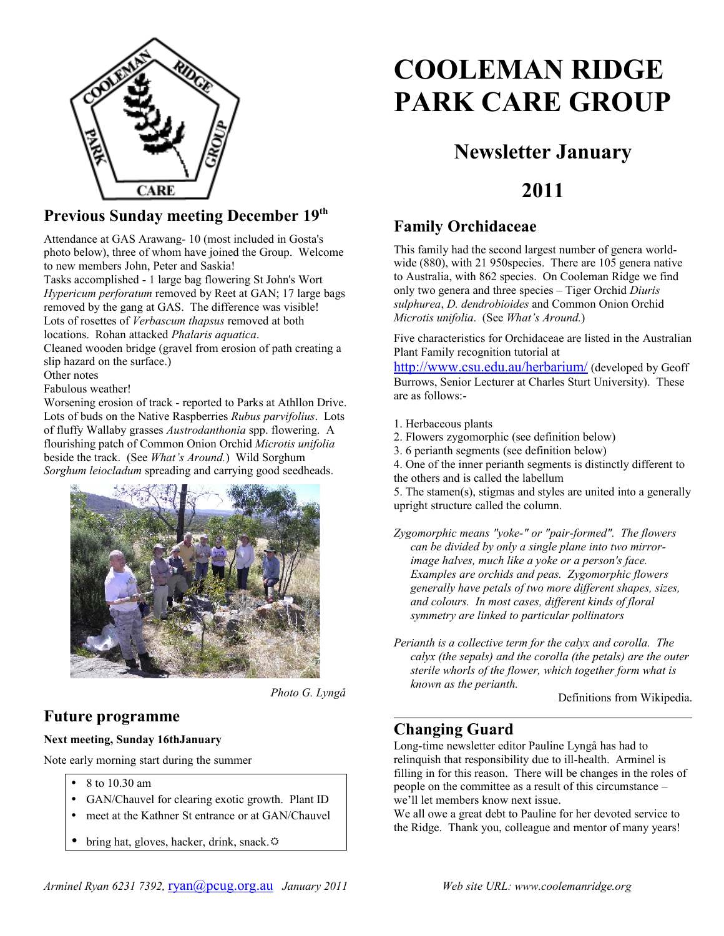

#### **Previous Sunday meeting December 19th**

Attendance at GAS Arawang- 10 (most included in Gosta's photo below), three of whom have joined the Group. Welcome to new members John, Peter and Saskia!

Tasks accomplished - 1 large bag flowering St John's Wort *Hypericum perforatum* removed by Reet at GAN; 17 large bags removed by the gang at GAS. The difference was visible! Lots of rosettes of *Verbascum thapsus* removed at both locations. Rohan attacked *Phalaris aquatica*.

Cleaned wooden bridge (gravel from erosion of path creating a slip hazard on the surface.)

Other notes

Fabulous weather!

Worsening erosion of track - reported to Parks at Athllon Drive. Lots of buds on the Native Raspberries *Rubus parvifolius*. Lots of fluffy Wallaby grasses *Austrodanthonia* spp. flowering. A flourishing patch of Common Onion Orchid *Microtis unifolia* beside the track. (See *What's Around.*) Wild Sorghum *Sorghum leiocladum* spreading and carrying good seedheads.



*Photo G. Lyngå*

## **Future programme**

#### **Next meeting, Sunday 16thJanuary**

Note early morning start during the summer

- 8 to 10.30 am
- GAN/Chauvel for clearing exotic growth. Plant ID
- meet at the Kathner St entrance or at GAN/Chauvel
- bring hat, gloves, hacker, drink, snack. $\ddot{\varphi}$

# **COOLEMAN RIDGE PARK CARE GROUP**

# **Newsletter January**

# **2011**

## **Family Orchidaceae**

This family had the second largest number of genera worldwide (880), with 21 950species. There are 105 genera native to Australia, with 862 species. On Cooleman Ridge we find only two genera and three species – Tiger Orchid *Diuris sulphurea*, *D. dendrobioides* and Common Onion Orchid *Microtis unifolia*. (See *What's Around.*)

Five characteristics for Orchidaceae are listed in the Australian Plant Family recognition tutorial at

<http://www.csu.edu.au/herbarium/> (developed by Geoff Burrows, Senior Lecturer at Charles Sturt University). These are as follows:-

1. Herbaceous plants

- 2. Flowers zygomorphic (see definition below)
- 3. 6 perianth segments (see definition below)

4. One of the inner perianth segments is distinctly different to the others and is called the labellum

5. The stamen(s), stigmas and styles are united into a generally upright structure called the column.

*Zygomorphic means "yoke-" or "pair-formed". The flowers can be divided by only a single plane into two mirrorimage halves, much like a yoke or a person's face. Examples are orchids and peas. Zygomorphic flowers generally have petals of two more different shapes, sizes, and colours. In most cases, different kinds of floral symmetry are linked to particular pollinators*

*Perianth is a collective term for the calyx and corolla. The calyx (the sepals) and the corolla (the petals) are the outer sterile whorls of the flower, which together form what is known as the perianth.*

Definitions from Wikipedia.

## **Changing Guard**

Long-time newsletter editor Pauline Lyngå has had to relinquish that responsibility due to ill-health. Arminel is filling in for this reason. There will be changes in the roles of people on the committee as a result of this circumstance – we'll let members know next issue.

We all owe a great debt to Pauline for her devoted service to the Ridge. Thank you, colleague and mentor of many years!